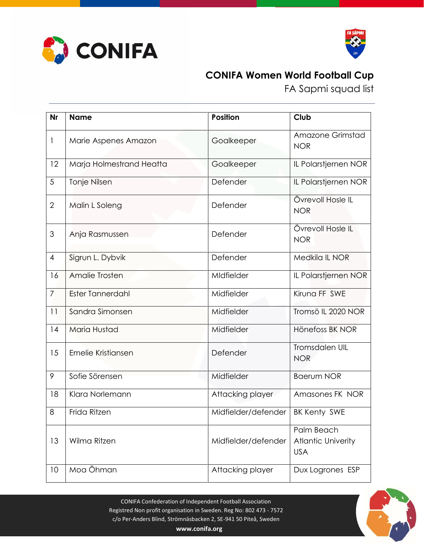



## **CONIFA Women World Football Cup**

FA Sapmi squad list

| <b>Nr</b>      | <b>Name</b>              | <b>Position</b>     | Club                                                  |
|----------------|--------------------------|---------------------|-------------------------------------------------------|
| 1              | Marie Aspenes Amazon     | Goalkeeper          | Amazone Grimstad<br><b>NOR</b>                        |
| 12             | Marja Holmestrand Heatta | Goalkeeper          | IL Polarstjernen NOR                                  |
| 5              | Tonje Nilsen             | Defender            | IL Polarstjernen NOR                                  |
| $\overline{2}$ | Malin L Soleng           | Defender            | Övrevoll Hosle IL<br><b>NOR</b>                       |
| $\mathfrak{S}$ | Anja Rasmussen           | Defender            | Övrevoll Hosle IL<br><b>NOR</b>                       |
| $\overline{4}$ | Sigrun L. Dybvik         | Defender            | Medkila IL NOR                                        |
| 16             | Amalie Trosten           | MIdfielder          | IL Polarstjernen NOR                                  |
| $\overline{7}$ | <b>Ester Tannerdahl</b>  | Midfielder          | Kiruna FF SWE                                         |
| 11             | Sandra Simonsen          | Midfielder          | Tromsö IL 2020 NOR                                    |
| 14             | Maria Hustad             | Midfielder          | Hönefoss BK NOR                                       |
| 15             | Emelie Kristiansen       | Defender            | Tromsdalen UIL<br><b>NOR</b>                          |
| 9              | Sofie Sörensen           | Midfielder          | <b>Baerum NOR</b>                                     |
| 18             | Klara Norlemann          | Attacking player    | Amasones FK NOR                                       |
| 8              | Frida Ritzen             | Midfielder/defender | <b>BK Kenty SWE</b>                                   |
| 13             | Wilma Ritzen             | Midfielder/defender | Palm Beach<br><b>Atlantic Univerity</b><br><b>USA</b> |
| 10             | Moa Öhman                | Attacking player    | Dux Logrones ESP                                      |

CONIFA Confederation of Independent Football Association Registred Non profit organisation in Sweden. Reg No: 802 473 - 7572 c/o Per-Anders Blind, Strömnäsbacken 2, SE-941 50 Piteå, Sweden



**www.conifa.org**